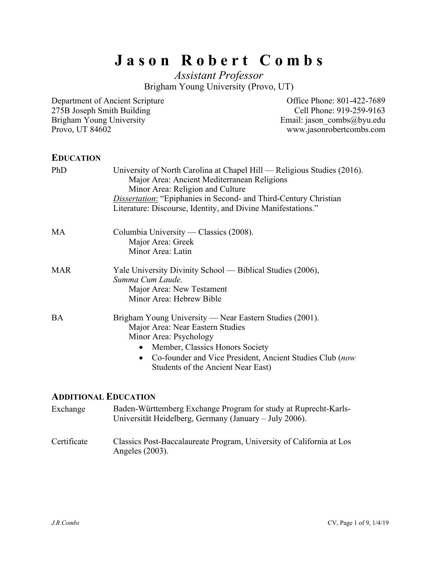# **J a s o n R o b e r t C o m b s**

*Assistant Professor* Brigham Young University (Provo, UT)

Department of Ancient Scripture 275B Joseph Smith Building Brigham Young University Provo, UT 84602

Office Phone: 801-422-7689 Cell Phone: 919-259-9163 Email: jason\_combs@byu.edu www.jasonrobertcombs.com

### **EDUCATION**

| PhD        | University of North Carolina at Chapel Hill — Religious Studies (2016).<br>Major Area: Ancient Mediterranean Religions<br>Minor Area: Religion and Culture<br><i>Dissertation:</i> "Epiphanies in Second- and Third-Century Christian<br>Literature: Discourse, Identity, and Divine Manifestations." |
|------------|-------------------------------------------------------------------------------------------------------------------------------------------------------------------------------------------------------------------------------------------------------------------------------------------------------|
| MA         | Columbia University — Classics (2008).<br>Major Area: Greek<br>Minor Area: Latin                                                                                                                                                                                                                      |
| <b>MAR</b> | Yale University Divinity School — Biblical Studies (2006),<br>Summa Cum Laude.<br>Major Area: New Testament<br>Minor Area: Hebrew Bible                                                                                                                                                               |
| BA         | Brigham Young University — Near Eastern Studies (2001).<br>Major Area: Near Eastern Studies<br>Minor Area: Psychology<br>Member, Classics Honors Society<br>$\bullet$<br>• Co-founder and Vice President, Ancient Studies Club (now<br>Students of the Ancient Near East)                             |

### **ADDITIONAL EDUCATION**

| Exchange | Baden-Württemberg Exchange Program for study at Ruprecht-Karls- |
|----------|-----------------------------------------------------------------|
|          | Universität Heidelberg, Germany (January – July 2006).          |

Certificate Classics Post-Baccalaureate Program, University of California at Los Angeles (2003).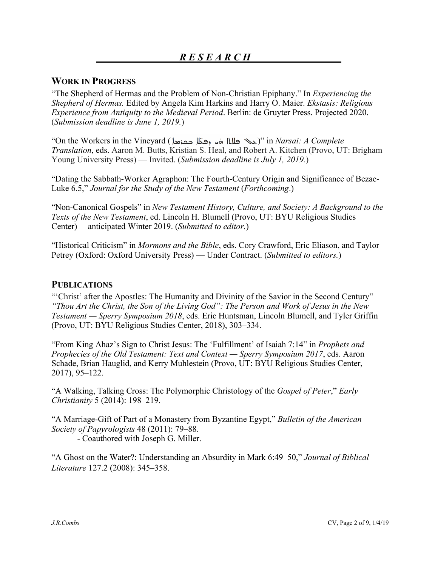### **WORK IN PROGRESS**

"The Shepherd of Hermas and the Problem of Non-Christian Epiphany." In *Experiencing the Shepherd of Hermas.* Edited by Angela Kim Harkins and Harry O. Maier. *Ekstasis: Religious Experience from Antiquity to the Medieval Period*. Berlin: de Gruyter Press. Projected 2020. (*Submission deadline is June 1, 2019.*)

"On the Workers in the Vineyard ( )" in *Narsai: A Complete Translation*, eds. Aaron M. Butts, Kristian S. Heal, and Robert A. Kitchen (Provo, UT: Brigham Young University Press) — Invited. (*Submission deadline is July 1, 2019.*)

"Dating the Sabbath-Worker Agraphon: The Fourth-Century Origin and Significance of Bezae-Luke 6.5," *Journal for the Study of the New Testament* (*Forthcoming*.)

"Non-Canonical Gospels" in *New Testament History, Culture, and Society: A Background to the Texts of the New Testament*, ed. Lincoln H. Blumell (Provo, UT: BYU Religious Studies Center)— anticipated Winter 2019. (*Submitted to editor.*)

"Historical Criticism" in *Mormons and the Bible*, eds. Cory Crawford, Eric Eliason, and Taylor Petrey (Oxford: Oxford University Press) — Under Contract. (*Submitted to editors.*)

### **PUBLICATIONS**

"'Christ' after the Apostles: The Humanity and Divinity of the Savior in the Second Century" *"Thou Art the Christ, the Son of the Living God": The Person and Work of Jesus in the New Testament — Sperry Symposium 2018*, eds. Eric Huntsman, Lincoln Blumell, and Tyler Griffin (Provo, UT: BYU Religious Studies Center, 2018), 303–334.

"From King Ahaz's Sign to Christ Jesus: The 'Fulfillment' of Isaiah 7:14" in *Prophets and Prophecies of the Old Testament: Text and Context — Sperry Symposium 2017*, eds. Aaron Schade, Brian Hauglid, and Kerry Muhlestein (Provo, UT: BYU Religious Studies Center, 2017), 95–122.

"A Walking, Talking Cross: The Polymorphic Christology of the *Gospel of Peter*," *Early Christianity* 5 (2014): 198–219.

"A Marriage-Gift of Part of a Monastery from Byzantine Egypt," *Bulletin of the American Society of Papyrologists* 48 (2011): 79–88.

- Coauthored with Joseph G. Miller.

"A Ghost on the Water?: Understanding an Absurdity in Mark 6:49–50," *Journal of Biblical Literature* 127.2 (2008): 345–358.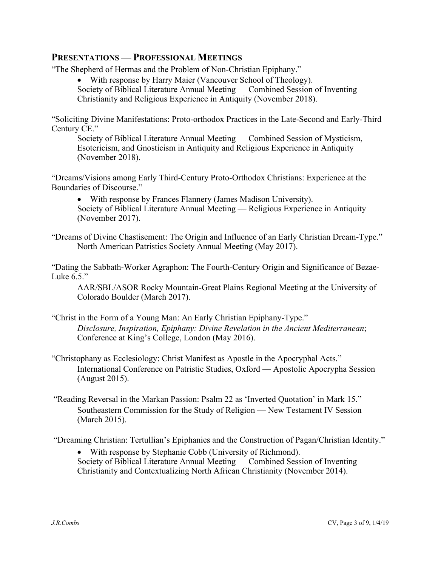### **PRESENTATIONS — PROFESSIONAL MEETINGS**

"The Shepherd of Hermas and the Problem of Non-Christian Epiphany."

• With response by Harry Maier (Vancouver School of Theology).

Society of Biblical Literature Annual Meeting — Combined Session of Inventing

Christianity and Religious Experience in Antiquity (November 2018).

"Soliciting Divine Manifestations: Proto-orthodox Practices in the Late-Second and Early-Third Century CE."

Society of Biblical Literature Annual Meeting — Combined Session of Mysticism, Esotericism, and Gnosticism in Antiquity and Religious Experience in Antiquity (November 2018).

"Dreams/Visions among Early Third-Century Proto-Orthodox Christians: Experience at the Boundaries of Discourse."

• With response by Frances Flannery (James Madison University). Society of Biblical Literature Annual Meeting — Religious Experience in Antiquity (November 2017).

"Dreams of Divine Chastisement: The Origin and Influence of an Early Christian Dream-Type." North American Patristics Society Annual Meeting (May 2017).

"Dating the Sabbath-Worker Agraphon: The Fourth-Century Origin and Significance of Bezae-Luke 6.5."

AAR/SBL/ASOR Rocky Mountain-Great Plains Regional Meeting at the University of Colorado Boulder (March 2017).

- "Christ in the Form of a Young Man: An Early Christian Epiphany-Type." *Disclosure, Inspiration, Epiphany: Divine Revelation in the Ancient Mediterranean*; Conference at King's College, London (May 2016).
- "Christophany as Ecclesiology: Christ Manifest as Apostle in the Apocryphal Acts." International Conference on Patristic Studies, Oxford — Apostolic Apocrypha Session (August 2015).
- "Reading Reversal in the Markan Passion: Psalm 22 as 'Inverted Quotation' in Mark 15." Southeastern Commission for the Study of Religion — New Testament IV Session (March 2015).

"Dreaming Christian: Tertullian's Epiphanies and the Construction of Pagan/Christian Identity."

• With response by Stephanie Cobb (University of Richmond). Society of Biblical Literature Annual Meeting — Combined Session of Inventing Christianity and Contextualizing North African Christianity (November 2014).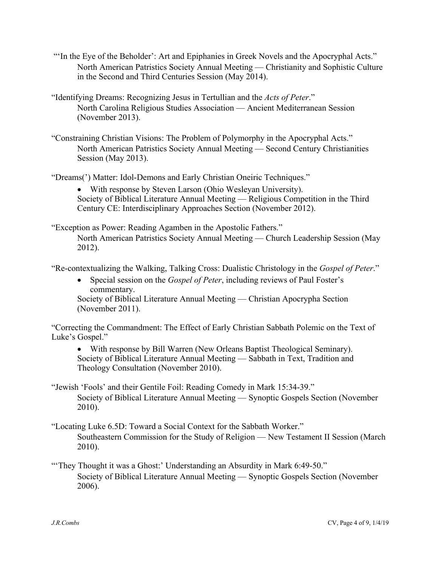- "'In the Eye of the Beholder': Art and Epiphanies in Greek Novels and the Apocryphal Acts." North American Patristics Society Annual Meeting — Christianity and Sophistic Culture in the Second and Third Centuries Session (May 2014).
- "Identifying Dreams: Recognizing Jesus in Tertullian and the *Acts of Peter*." North Carolina Religious Studies Association — Ancient Mediterranean Session (November 2013).
- "Constraining Christian Visions: The Problem of Polymorphy in the Apocryphal Acts." North American Patristics Society Annual Meeting — Second Century Christianities Session (May 2013).

"Dreams(') Matter: Idol-Demons and Early Christian Oneiric Techniques."

• With response by Steven Larson (Ohio Wesleyan University). Society of Biblical Literature Annual Meeting — Religious Competition in the Third Century CE: Interdisciplinary Approaches Section (November 2012).

"Exception as Power: Reading Agamben in the Apostolic Fathers."

North American Patristics Society Annual Meeting — Church Leadership Session (May 2012).

"Re-contextualizing the Walking, Talking Cross: Dualistic Christology in the *Gospel of Peter*."

• Special session on the *Gospel of Peter*, including reviews of Paul Foster's commentary. Society of Biblical Literature Annual Meeting — Christian Apocrypha Section (November 2011).

"Correcting the Commandment: The Effect of Early Christian Sabbath Polemic on the Text of Luke's Gospel."

- With response by Bill Warren (New Orleans Baptist Theological Seminary). Society of Biblical Literature Annual Meeting — Sabbath in Text, Tradition and Theology Consultation (November 2010).
- "Jewish 'Fools' and their Gentile Foil: Reading Comedy in Mark 15:34-39." Society of Biblical Literature Annual Meeting — Synoptic Gospels Section (November 2010).
- "Locating Luke 6.5D: Toward a Social Context for the Sabbath Worker." Southeastern Commission for the Study of Religion — New Testament II Session (March 2010).
- "They Thought it was a Ghost:' Understanding an Absurdity in Mark 6:49-50." Society of Biblical Literature Annual Meeting — Synoptic Gospels Section (November 2006).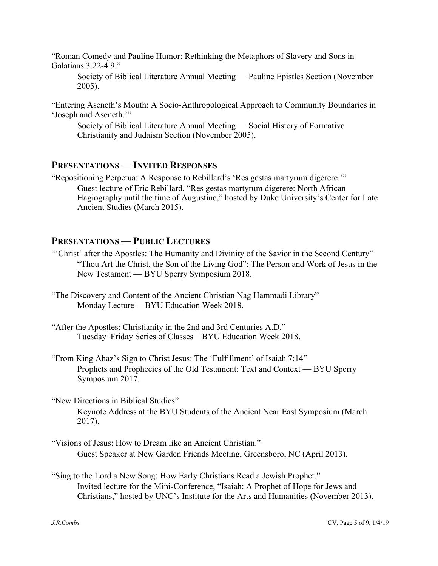"Roman Comedy and Pauline Humor: Rethinking the Metaphors of Slavery and Sons in Galatians 3.22-4.9."

Society of Biblical Literature Annual Meeting — Pauline Epistles Section (November 2005).

"Entering Aseneth's Mouth: A Socio-Anthropological Approach to Community Boundaries in 'Joseph and Aseneth.'"

Society of Biblical Literature Annual Meeting — Social History of Formative Christianity and Judaism Section (November 2005).

### **PRESENTATIONS — INVITED RESPONSES**

"Repositioning Perpetua: A Response to Rebillard's 'Res gestas martyrum digerere.'" Guest lecture of Eric Rebillard, "Res gestas martyrum digerere: North African Hagiography until the time of Augustine," hosted by Duke University's Center for Late Ancient Studies (March 2015).

### **PRESENTATIONS — PUBLIC LECTURES**

- "'Christ' after the Apostles: The Humanity and Divinity of the Savior in the Second Century" "Thou Art the Christ, the Son of the Living God": The Person and Work of Jesus in the New Testament — BYU Sperry Symposium 2018.
- "The Discovery and Content of the Ancient Christian Nag Hammadi Library" Monday Lecture —BYU Education Week 2018.
- "After the Apostles: Christianity in the 2nd and 3rd Centuries A.D." Tuesday–Friday Series of Classes—BYU Education Week 2018.
- "From King Ahaz's Sign to Christ Jesus: The 'Fulfillment' of Isaiah 7:14" Prophets and Prophecies of the Old Testament: Text and Context — BYU Sperry Symposium 2017.
- "New Directions in Biblical Studies" Keynote Address at the BYU Students of the Ancient Near East Symposium (March 2017).
- "Visions of Jesus: How to Dream like an Ancient Christian." Guest Speaker at New Garden Friends Meeting, Greensboro, NC (April 2013).
- "Sing to the Lord a New Song: How Early Christians Read a Jewish Prophet." Invited lecture for the Mini-Conference, "Isaiah: A Prophet of Hope for Jews and Christians," hosted by UNC's Institute for the Arts and Humanities (November 2013).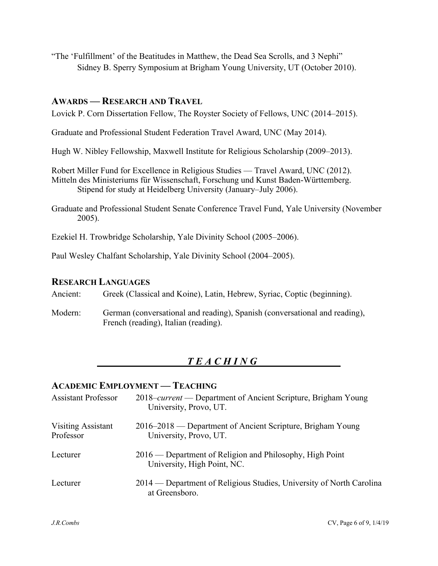"The 'Fulfillment' of the Beatitudes in Matthew, the Dead Sea Scrolls, and 3 Nephi" Sidney B. Sperry Symposium at Brigham Young University, UT (October 2010).

### **AWARDS — RESEARCH AND TRAVEL**

Lovick P. Corn Dissertation Fellow, The Royster Society of Fellows, UNC (2014–2015).

Graduate and Professional Student Federation Travel Award, UNC (May 2014).

Hugh W. Nibley Fellowship, Maxwell Institute for Religious Scholarship (2009–2013).

Robert Miller Fund for Excellence in Religious Studies — Travel Award, UNC (2012). Mitteln des Ministeriums für Wissenschaft, Forschung und Kunst Baden-Württemberg. Stipend for study at Heidelberg University (January–July 2006).

Graduate and Professional Student Senate Conference Travel Fund, Yale University (November 2005).

Ezekiel H. Trowbridge Scholarship, Yale Divinity School (2005–2006).

Paul Wesley Chalfant Scholarship, Yale Divinity School (2004–2005).

### **RESEARCH LANGUAGES**

Ancient: Greek (Classical and Koine), Latin, Hebrew, Syriac, Coptic (beginning).

Modern: German (conversational and reading), Spanish (conversational and reading), French (reading), Italian (reading).

# *T E A C H I N G*

### **ACADEMIC EMPLOYMENT — TEACHING**

| <b>Assistant Professor</b>             | 2018– <i>current</i> — Department of Ancient Scripture, Brigham Young<br>University, Provo, UT. |
|----------------------------------------|-------------------------------------------------------------------------------------------------|
| <b>Visiting Assistant</b><br>Professor | 2016–2018 — Department of Ancient Scripture, Brigham Young<br>University, Provo, UT.            |
| Lecturer                               | 2016 — Department of Religion and Philosophy, High Point<br>University, High Point, NC.         |
| Lecturer                               | 2014 — Department of Religious Studies, University of North Carolina<br>at Greensboro.          |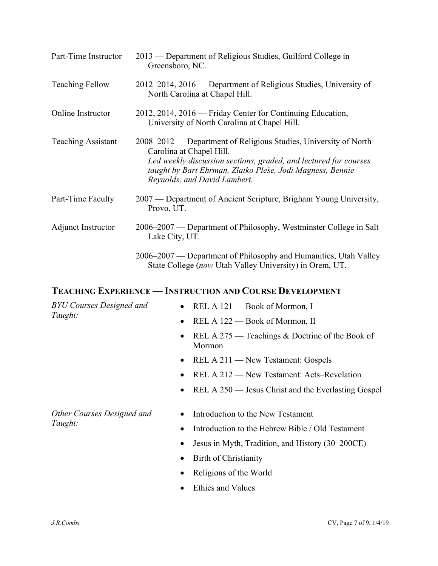| Part-Time Instructor      | 2013 — Department of Religious Studies, Guilford College in<br>Greensboro, NC.                                                                                                                                                                                |
|---------------------------|---------------------------------------------------------------------------------------------------------------------------------------------------------------------------------------------------------------------------------------------------------------|
| <b>Teaching Fellow</b>    | 2012–2014, 2016 — Department of Religious Studies, University of<br>North Carolina at Chapel Hill.                                                                                                                                                            |
| Online Instructor         | 2012, 2014, 2016 — Friday Center for Continuing Education,<br>University of North Carolina at Chapel Hill.                                                                                                                                                    |
| <b>Teaching Assistant</b> | 2008–2012 — Department of Religious Studies, University of North<br>Carolina at Chapel Hill.<br>Led weekly discussion sections, graded, and lectured for courses<br>taught by Bart Ehrman, Zlatko Pleše, Jodi Magness, Bennie<br>Reynolds, and David Lambert. |
| Part-Time Faculty         | 2007 — Department of Ancient Scripture, Brigham Young University,<br>Provo, UT.                                                                                                                                                                               |
| Adjunct Instructor        | 2006–2007 — Department of Philosophy, Westminster College in Salt<br>Lake City, UT.                                                                                                                                                                           |
|                           | 2006–2007 — Department of Philosophy and Humanities, Utah Valley<br>State College (now Utah Valley University) in Orem, UT.                                                                                                                                   |

## **TEACHING EXPERIENCE — INSTRUCTION AND COURSE DEVELOPMENT**

| <b>BYU Courses Designed and</b> | • REL A $121$ – Book of Mormon, I                                      |
|---------------------------------|------------------------------------------------------------------------|
| Taught:                         | REL A 122 – Book of Mormon, II<br>$\bullet$                            |
|                                 | REL A 275 — Teachings & Doctrine of the Book of<br>$\bullet$<br>Mormon |
|                                 | • REL A $211$ — New Testament: Gospels                                 |
|                                 | REL A 212 — New Testament: Acts–Revelation                             |
|                                 | REL A 250 — Jesus Christ and the Everlasting Gospel<br>$\bullet$       |
|                                 |                                                                        |
| Other Courses Designed and      | Introduction to the New Testament<br>$\bullet$                         |
| Taught:                         | Introduction to the Hebrew Bible / Old Testament<br>٠                  |
|                                 | Jesus in Myth, Tradition, and History (30–200CE)<br>$\bullet$          |
|                                 | Birth of Christianity<br>٠                                             |
|                                 | Religions of the World                                                 |
|                                 | <b>Ethics and Values</b>                                               |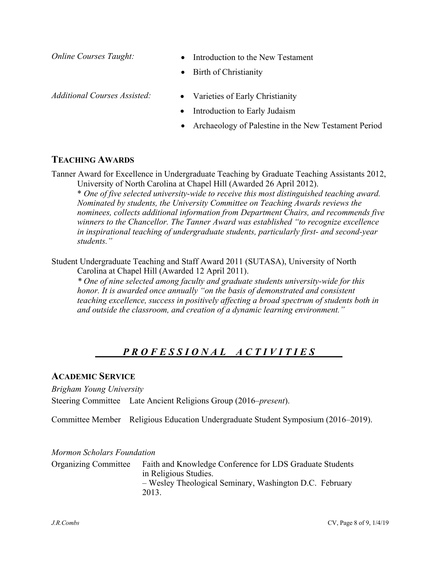- *Online Courses Taught:* • Introduction to the New Testament
	- Birth of Christianity

- *Additional Courses Assisted:* Varieties of Early Christianity
	- Introduction to Early Judaism
	- Archaeology of Palestine in the New Testament Period

### **TEACHING AWARDS**

Tanner Award for Excellence in Undergraduate Teaching by Graduate Teaching Assistants 2012, University of North Carolina at Chapel Hill (Awarded 26 April 2012).

\* *One of five selected university-wide to receive this most distinguished teaching award. Nominated by students, the University Committee on Teaching Awards reviews the nominees, collects additional information from Department Chairs, and recommends five winners to the Chancellor. The Tanner Award was established "to recognize excellence in inspirational teaching of undergraduate students, particularly first- and second-year students."*

Student Undergraduate Teaching and Staff Award 2011 (SUTASA), University of North Carolina at Chapel Hill (Awarded 12 April 2011).

*\* One of nine selected among faculty and graduate students university-wide for this honor. It is awarded once annually "on the basis of demonstrated and consistent teaching excellence, success in positively affecting a broad spectrum of students both in and outside the classroom, and creation of a dynamic learning environment."*

### *P R O F E S S I O N A L A C T I V I T I E S*

#### **ACADEMIC SERVICE**

*Brigham Young University*

Steering Committee Late Ancient Religions Group (2016–*present*).

Committee Member Religious Education Undergraduate Student Symposium (2016–2019).

#### *Mormon Scholars Foundation*

Organizing Committee Faith and Knowledge Conference for LDS Graduate Students in Religious Studies. – Wesley Theological Seminary, Washington D.C. February 2013.